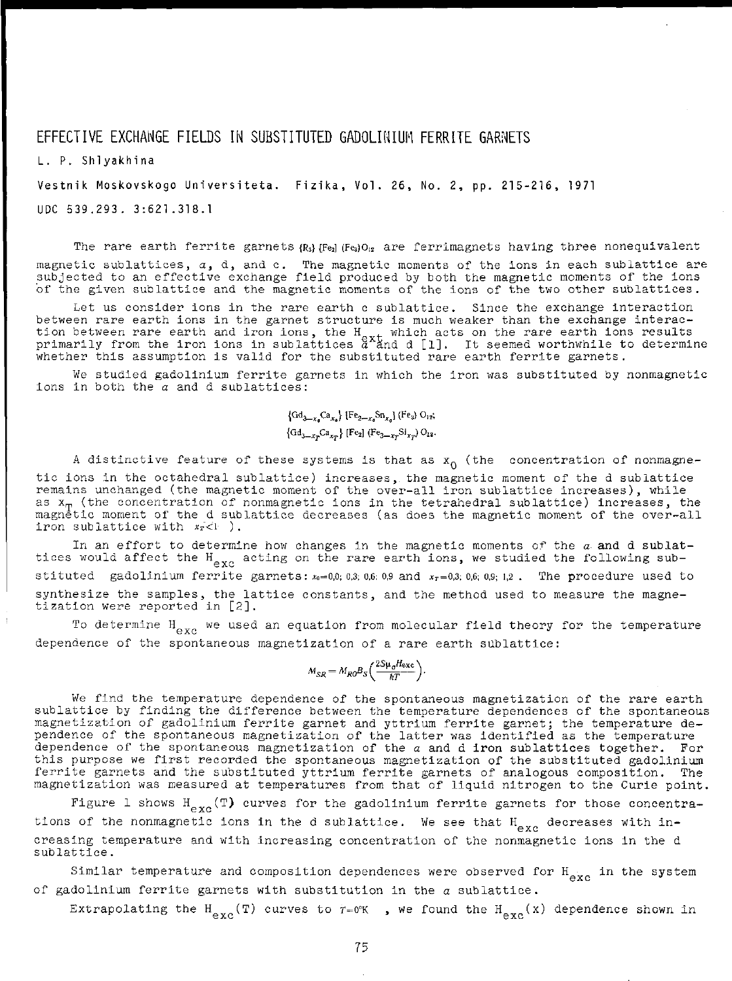## EFFECTIVE EXCHANGE FIELDS IN SUBSTITUTED GADOLINIUM FERRITE GARNETS

**L . P . Shlyakhin a** 

**Vestni k Moskovskog o Universiteta . Fizika , Vol . 26 , No . 2 , pp . 215-216 , 1971** 

**U D C 539.293 . 3:621.318. 1** 

The rare earth ferrite garnets  $\{R_3\}$  [Fed (Fed)  $0_{12}$  are ferrimagnets having three nonequivalent magnetic sublattices,  $a$ , d, and c. The magnetic moments of the ions in each sublattice are **subjecte d t o a n effectiv e exchang e fiel d produce d b y bot h th e magneti c moment s o f th e ion s**  of the given sublattice and the magnetic moments of the ions of the two other sublattices.

Let us consider ions in the rare earth c sublattice. Since the exchange interaction **betwee n rar e eart h ion s i n th e garne t structur e i s muc h weake r tha n th e exchang e interac tio n betwee n rar e eart h an d iro n ions , th e H , whic h act s o n th e rar e eart h ion s result s**  primarily from the iron ions in sublattices  $a^{\text{stat}}$  and  $d$  [1]. It seemed worthwhile to determine **whethe r thi s assumptio n i s vali d fo r th e substitute d rar e eart h ferrit e garnets .** 

**W e studie d gadoliniu m ferrit e garnet s i n whic h th e iro n wa s substitute d b y nonmagneti c**   $i$  **ions** in both the  $\alpha$  and d sublattices:

> $\{Gd_{3-x}Ca_{x_0}\}\{Fe_{2-x_0}Sn_{x_0}\}(Fe_3)$   $O_{12}$ ;  $\{Gd_{3-x_{T}}Ca_{x_{T}}\}$  [Fe<sub>2</sub>] (Fe<sub>3-x<sub>T</sub></sub>Si<sub>x<sub>T</sub></sub>) O<sub>12</sub>.

**A distinctiv e featur e o f thes e system s i s tha t a s x <sup>Q</sup> (th e concentratio n o f nonmagne t i c ion s i n th e octahedra l sublattice ) increases, , th e magneti c momen t o f th e d sublattic e remain s unchange d (th e magneti c momen t o f th e over-al l iro n sublattic e increases) , whil e a s x <sup>T</sup> (th e concentratio n o f nonmagneti c ion s i n th e tetrahedra l sublattice ) increases , th e magneti c momen t o f th e d sublattic e decrease s (a s doe s th e magneti c momen t o f th e over-al l**  iron sublattice with  $x_T < 1$ ).

**I n a n effor t t o determin e ho w change s i n th e magneti c moment s o f th e a an d d sublat tice s woul d affec t th e H • actin g o n th e rar e eart h ions , w e studie d th e followin g sub stituted** gadolinium ferrite garnets:  $x_0 = 0.0$ ; 0.3; 0.6; 0.9 and  $x_T = 0.3$ ; 0.6; 0.9; 1.2 . The procedure used to **synthesiz e th e samples , th e lattic e constants , an d th e metho d use d t o measur e th e magne tization were reported in [2].** 

**T o determin e H e x <sup>c</sup> w e use d a n equatio n fro m molecula r fiel d theor y fo r th e temperatur e dependenc e o f th e spontaneou s magnetizatio n o f a rar e eart h sublattice :** 

$$
M_{SR} = M_{R0} B_S \left( \frac{2S \mu_0 H_{\text{exc}}}{kT} \right).
$$

**W e fin d th e temperatur e dependenc e o f th e spontaneou s magnetizatio n o f th e rar e eart h sublattic e b y findin g th e differenc e betwee n th e temperatur e dependence s o f th e spontaneou s magnetizatio n o f gadoliniu m ferrit e garne t an d yttriu m ferrit e garnet ; th e temperatur e de pendenc e o f th e spontaneou s magnetizatio n o f th e latte r wa s identifie d a s th e temperatur e dependenc e o f th e spontaneou s magnetizatio n o f th e a an d d iro n sublattice s together . Fo r thi s purpos e w e firs t recorde d th e spontaneou s magnetizatio n o f th e substitute d gadoliniu m ferrit e garnet s an d th e substitute d yttriu m ferrit e garnet s o f analogou s composition . Th e magnetizatio n wa s measure d a t temperature s fro m tha t o f liqui d nitroge n t o th e Curi e point .** 

**Fi**gure 1 shows  $H_{\text{exc}}(\texttt{T})$  curves for the gadolinium ferrite garnets for those concentrations of the nonmagnetic ions in the d sublattice. We see that H<sub>ime</sub> decreases with in**creasin g temperatur e an d wit h increasin g concentratio n o f th e nonmagneti c ion s i n th e d sublattice .** 

**Simila r temperatur e an d compositio n dependence s wer e observe d fo r H g x <sup>c</sup> i n th e syste m o f gadoliniu m ferrit e garnet s wit h substitutio n i n th e a sublattice .** 

**Extrapolating the H<sub>exc</sub>**(T) curves to  $r=0$ °K, we found the H<sub>exc</sub>(x) dependence shown in

**75**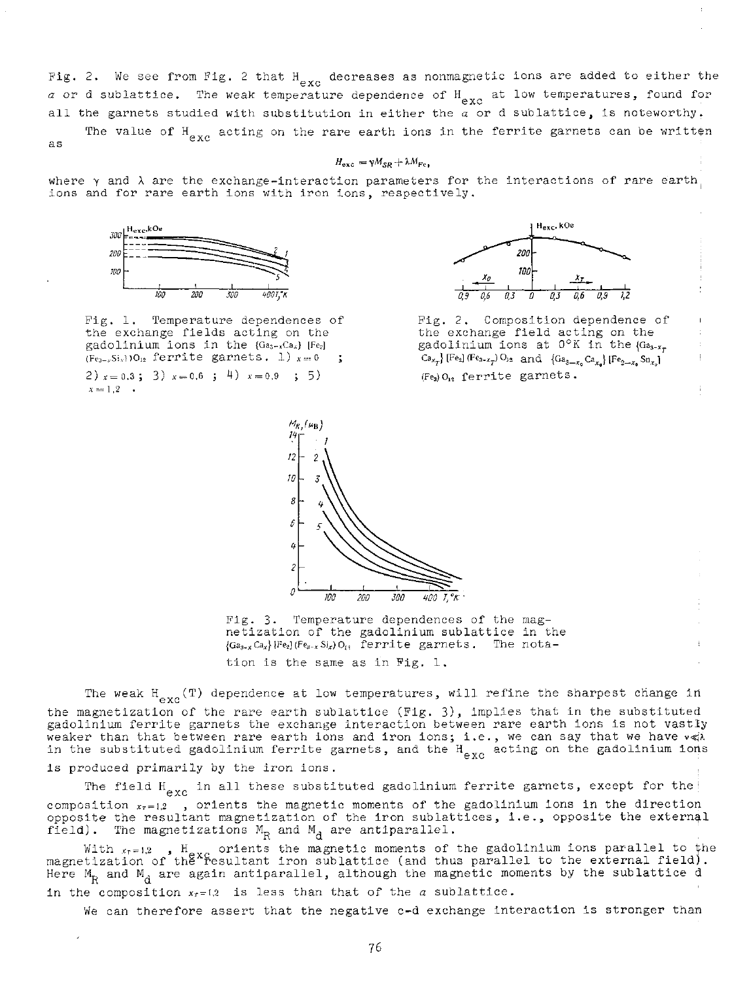**Fig . 2 . W e se e fro m Fig . 2 tha t H decrease s as nonmagneti c ion s ar e adde d t o eithe r th e**  *a or* **d sublattice . Th e wea k temperatur e dependenc e of H g x <sup>c</sup> at lo w temperatures , foun d for a l l th e garnet s studie d wit h substitutio n in eithe r th e** *a* **o r d sublattice , is noteworthy ,** 

**The value of**  $H_{\alpha_{\mathbf{X}\sigma}}$  **acting on the rare earth ions in the ferrite garnets can be written as**

## $H_{\text{exc}} = \gamma M_{SR} + \lambda M_{Fe}$ .

**where y** and  $\lambda$  are the exchange-interaction parameters for the interactions of rare earth, **ion s an d fo r rar e eart h ion s wit h iro n ions , respectively .** 



**Fig . 1 . Temperatur e dependence s o f t h e exchang e field s actin g on th e gadoliniu m ion s i n th e {Ga3-.vCa.\*} [Fe2]**   $(F_{e_{3-x}}Si_x)$ )O<sub>12</sub> ferrite garnets. 1)  $x = 0$  ;

**2**  $x = 0.3$ ; **3**  $x = 0.6$ ; **4**  $x = 0.9$ ; **5**  $\left( \begin{array}{ccc} 5 \\ 7 \end{array} \right)$  $x = 1,2 \cdot \cdot$ 



**Fig . 2 . Compositio n dependenc e o f t h e exchang e fiel d actin g on th e gadoliniu m ion s at 0°K in th e {Ga3.Xj.**   $\text{Ca}_{x}$  [Fe<sub>2</sub>] (Fe<sub>2</sub>**-x<sub>p</sub>**</sub>) O<sub>12</sub> and {Ga<sub>3</sub>-x<sub>p</sub><sup>Ca</sup><sub>x<sub>a</sub></sub>} [Fe<sub>2</sub>-x<sub>p</sub> Sn<sub>x<sub>p</sub>]</sub> **(Fe3)o<sup>12</sup> ferrit e garnets .** 



**Fig . 3 . Temperatur e dependence s of th e mag netizatio n o f th e gadoliniu m sublattic e in th e {Ga3\_x Cax\ [Fe2] (Fe3.^ Si\*) o<sup>r</sup> > ferrit e garnets . Th e nota tio n is th e sam e a s i n Fig . 1 .** 

**T**he weak **exc ( T ) dependenc e a t low temperatures , wil l refin e th e sharpes t chang e i n t h e magnetizatio n o f th e rar e eart h sublattic e (Fig . 3) , implie s tha t i n th e substitute d gadoliniu m ferrit e garnet s th e exchang e interactio n betwee n rar e eart h ion s is no t vastl y**  weaker than that between rare earth ions and iron ions; i.e., we can say that we have  $v \ll \lambda$ 

is produced primarily by the iron ions.

**T h e fiel d H g x <sup>c</sup> in al l thes e substitute d gadoliniu m ferrit e garnets , excep t for the i**   $\alpha$  composition  $x_{\tau} = 1.2$  , orients the magnetic moments of the gadolinium ions in the direction **opposit e th e resultan t magnetizatio n o f the iro n su b lattices , i.e. , opposit e th e externa l**   $\mathbb{R}$  **field).** The magnetizations  $\mathbb{M}_{\mathbb{R}}$  and  $\mathbb{M}_{\mathbb{R}}$  are antiparallel.

**i n th e substitute d gadoliniu m ferrit e garnets , an d th e H e x <sup>c</sup> actin g on th e gadoliniu m ioris** 

With  $x_{r=1,2}$  ,  $H_{\alpha\alpha}$  orients the magnetic moments of the gadolinium ions parallel to the magnetization of the xc situation iron sublattice (and thus parallel to the external field). Here  $\text{M}_{\text{R}}$  and  $\text{M}_{\text{d}}$  are again antiparallel, although the magnetic moments by the sublattice d **in th e compositio n \*<sup>r</sup> = i,2 is les s tha n tha t o f th e** *a* **sublattice .** 

We can therefore assert that the negative c-d exchange interaction is stronger than